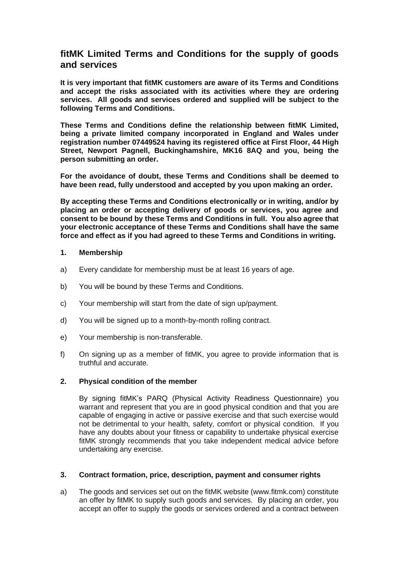# **fitMK Limited Terms and Conditions for the supply of goods and services**

**It is very important that fitMK customers are aware of its Terms and Conditions and accept the risks associated with its activities where they are ordering services. All goods and services ordered and supplied will be subject to the following Terms and Conditions.** 

**These Terms and Conditions define the relationship between fitMK Limited, being a private limited company incorporated in England and Wales under registration number 07449524 having its registered office at First Floor, 44 High Street, Newport Pagnell, Buckinghamshire, MK16 8AQ and you, being the person submitting an order.** 

**For the avoidance of doubt, these Terms and Conditions shall be deemed to have been read, fully understood and accepted by you upon making an order.**

**By accepting these Terms and Conditions electronically or in writing, and/or by placing an order or accepting delivery of goods or services, you agree and consent to be bound by these Terms and Conditions in full. You also agree that your electronic acceptance of these Terms and Conditions shall have the same force and effect as if you had agreed to these Terms and Conditions in writing.** 

#### **1. Membership**

- a) Every candidate for membership must be at least 16 years of age.
- b) You will be bound by these Terms and Conditions.
- c) Your membership will start from the date of sign up/payment.
- d) You will be signed up to a month-by-month rolling contract.
- e) Your membership is non-transferable.
- f) On signing up as a member of fitMK, you agree to provide information that is truthful and accurate.

#### **2. Physical condition of the member**

By signing fitMK's PARQ (Physical Activity Readiness Questionnaire) you warrant and represent that you are in good physical condition and that you are capable of engaging in active or passive exercise and that such exercise would not be detrimental to your health, safety, comfort or physical condition. If you have any doubts about your fitness or capability to undertake physical exercise fitMK strongly recommends that you take independent medical advice before undertaking any exercise.

# **3. Contract formation, price, description, payment and consumer rights**

a) The goods and services set out on the fitMK website (www.fitmk.com) constitute an offer by fitMK to supply such goods and services. By placing an order, you accept an offer to supply the goods or services ordered and a contract between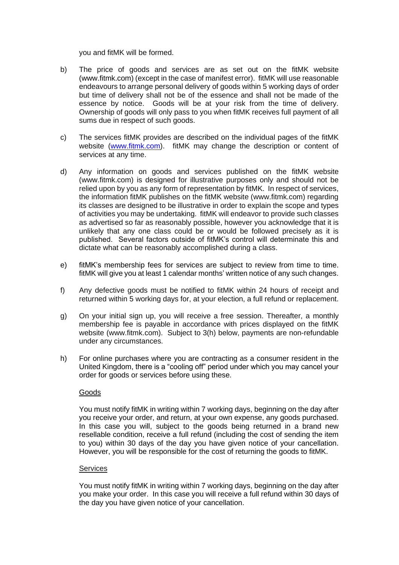you and fitMK will be formed.

- b) The price of goods and services are as set out on the fitMK website [\(www.fitmk.com\)](http://www.fitmk.com/) (except in the case of manifest error). fitMK will use reasonable endeavours to arrange personal delivery of goods within 5 working days of order but time of delivery shall not be of the essence and shall not be made of the essence by notice. Goods will be at your risk from the time of delivery. Ownership of goods will only pass to you when fitMK receives full payment of all sums due in respect of such goods.
- c) The services fitMK provides are described on the individual pages of the fitMK website [\(www.fitmk.com\)](http://www.fitmk.com/). fitMK may change the description or content of services at any time.
- d) Any information on goods and services published on the fitMK website (www.fitmk.com) is designed for illustrative purposes only and should not be relied upon by you as any form of representation by fitMK. In respect of services, the information fitMK publishes on the fitMK website (www.fitmk.com) regarding its classes are designed to be illustrative in order to explain the scope and types of activities you may be undertaking. fitMK will endeavor to provide such classes as advertised so far as reasonably possible, however you acknowledge that it is unlikely that any one class could be or would be followed precisely as it is published. Several factors outside of fitMK's control will determinate this and dictate what can be reasonably accomplished during a class.
- e) fitMK's membership fees for services are subject to review from time to time. fitMK will give you at least 1 calendar months' written notice of any such changes.
- f) Any defective goods must be notified to fitMK within 24 hours of receipt and returned within 5 working days for, at your election, a full refund or replacement.
- g) On your initial sign up, you will receive a free session. Thereafter, a monthly membership fee is payable in accordance with prices displayed on the fitMK website (www.fitmk.com). Subject to 3(h) below, payments are non-refundable under any circumstances.
- h) For online purchases where you are contracting as a consumer resident in the United Kingdom, there is a "cooling off" period under which you may cancel your order for goods or services before using these.

#### **Goods**

You must notify fitMK in writing within 7 working days, beginning on the day after you receive your order, and return, at your own expense, any goods purchased. In this case you will, subject to the goods being returned in a brand new resellable condition, receive a full refund (including the cost of sending the item to you) within 30 days of the day you have given notice of your cancellation. However, you will be responsible for the cost of returning the goods to fitMK.

#### Services

You must notify fitMK in writing within 7 working days, beginning on the day after you make your order. In this case you will receive a full refund within 30 days of the day you have given notice of your cancellation.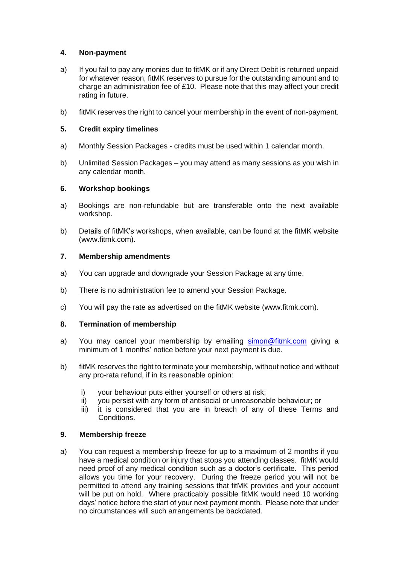# **4. Non-payment**

- a) If you fail to pay any monies due to fitMK or if any Direct Debit is returned unpaid for whatever reason, fitMK reserves to pursue for the outstanding amount and to charge an administration fee of £10. Please note that this may affect your credit rating in future.
- b) fitMK reserves the right to cancel your membership in the event of non-payment.

# **5. Credit expiry timelines**

- a) Monthly Session Packages credits must be used within 1 calendar month.
- b) Unlimited Session Packages you may attend as many sessions as you wish in any calendar month.

# **6. Workshop bookings**

- a) Bookings are non-refundable but are transferable onto the next available workshop.
- b) Details of fitMK's workshops, when available, can be found at the fitMK website [\(www.fitmk.com\)](http://www.fitmk.com/).

# **7. Membership amendments**

- a) You can upgrade and downgrade your Session Package at any time.
- b) There is no administration fee to amend your Session Package.
- c) You will pay the rate as advertised on the fitMK website [\(www.fitmk.com\)](http://www.fitmk.com/).

# **8. Termination of membership**

- a) You may cancel your membership by emailing [simon@fitmk.com](mailto:simon@fitmk.com) giving a minimum of 1 months' notice before your next payment is due.
- b) fitMK reserves the right to terminate your membership, without notice and without any pro-rata refund, if in its reasonable opinion:
	- i) your behaviour puts either yourself or others at risk;
	- ii) you persist with any form of antisocial or unreasonable behaviour; or
	- iii) it is considered that you are in breach of any of these Terms and Conditions.

# **9. Membership freeze**

a) You can request a membership freeze for up to a maximum of 2 months if you have a medical condition or injury that stops you attending classes. fitMK would need proof of any medical condition such as a doctor's certificate. This period allows you time for your recovery. During the freeze period you will not be permitted to attend any training sessions that fitMK provides and your account will be put on hold. Where practicably possible fitMK would need 10 working days' notice before the start of your next payment month. Please note that under no circumstances will such arrangements be backdated.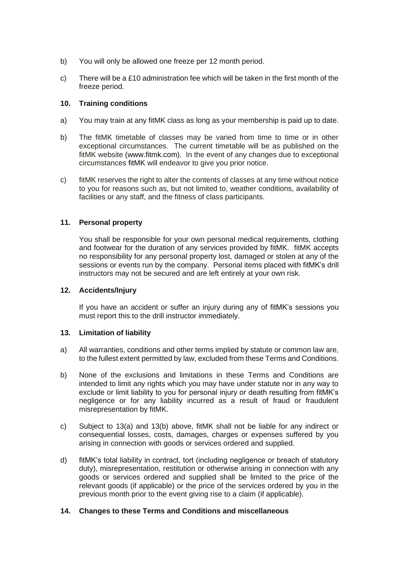- b) You will only be allowed one freeze per 12 month period.
- c) There will be a  $£10$  administration fee which will be taken in the first month of the freeze period.

# **10. Training conditions**

- a) You may train at any fitMK class as long as your membership is paid up to date.
- b) The fitMK timetable of classes may be varied from time to time or in other exceptional circumstances. The current timetable will be as published on the fitMK website [\(www.fitmk.com\)](http://www.fitmk.com/). In the event of any changes due to exceptional circumstances fitMK will endeavor to give you prior notice.
- c) fitMK reserves the right to alter the contents of classes at any time without notice to you for reasons such as, but not limited to, weather conditions, availability of facilities or any staff, and the fitness of class participants.

# **11. Personal property**

You shall be responsible for your own personal medical requirements, clothing and footwear for the duration of any services provided by fitMK. fitMK accepts no responsibility for any personal property lost, damaged or stolen at any of the sessions or events run by the company. Personal items placed with fitMK's drill instructors may not be secured and are left entirely at your own risk.

# **12. Accidents/Injury**

If you have an accident or suffer an injury during any of fitMK's sessions you must report this to the drill instructor immediately.

# **13. Limitation of liability**

- a) All warranties, conditions and other terms implied by statute or common law are, to the fullest extent permitted by law, excluded from these Terms and Conditions.
- b) None of the exclusions and limitations in these Terms and Conditions are intended to limit any rights which you may have under statute nor in any way to exclude or limit liability to you for personal injury or death resulting from fitMK's negligence or for any liability incurred as a result of fraud or fraudulent misrepresentation by fitMK.
- c) Subject to 13(a) and 13(b) above, fitMK shall not be liable for any indirect or consequential losses, costs, damages, charges or expenses suffered by you arising in connection with goods or services ordered and supplied.
- d) fitMK's total liability in contract, tort (including negligence or breach of statutory duty), misrepresentation, restitution or otherwise arising in connection with any goods or services ordered and supplied shall be limited to the price of the relevant goods (if applicable) or the price of the services ordered by you in the previous month prior to the event giving rise to a claim (if applicable).

# **14. Changes to these Terms and Conditions and miscellaneous**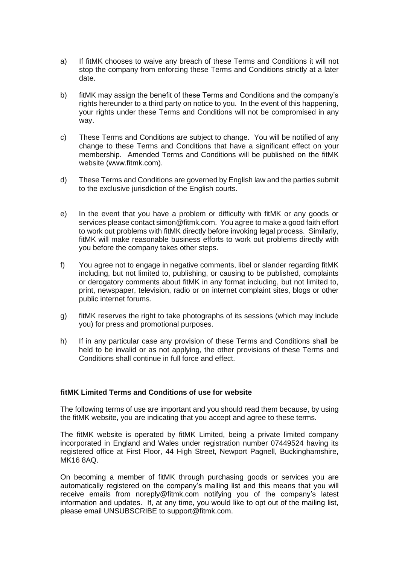- a) If fitMK chooses to waive any breach of these Terms and Conditions it will not stop the company from enforcing these Terms and Conditions strictly at a later date.
- b) fitMK may assign the benefit of these Terms and Conditions and the company's rights hereunder to a third party on notice to you. In the event of this happening, your rights under these Terms and Conditions will not be compromised in any way.
- c) These Terms and Conditions are subject to change. You will be notified of any change to these Terms and Conditions that have a significant effect on your membership. Amended Terms and Conditions will be published on the fitMK website (www.fitmk.com).
- d) These Terms and Conditions are governed by English law and the parties submit to the exclusive jurisdiction of the English courts.
- e) In the event that you have a problem or difficulty with fitMK or any goods or services please contact simon@fitmk.com. You agree to make a good faith effort to work out problems with fitMK directly before invoking legal process. Similarly, fitMK will make reasonable business efforts to work out problems directly with you before the company takes other steps.
- f) You agree not to engage in negative comments, libel or slander regarding fitMK including, but not limited to, publishing, or causing to be published, complaints or derogatory comments about fitMK in any format including, but not limited to, print, newspaper, television, radio or on internet complaint sites, blogs or other public internet forums.
- g) fitMK reserves the right to take photographs of its sessions (which may include you) for press and promotional purposes.
- h) If in any particular case any provision of these Terms and Conditions shall be held to be invalid or as not applying, the other provisions of these Terms and Conditions shall continue in full force and effect.

# **fitMK Limited Terms and Conditions of use for website**

The following terms of use are important and you should read them because, by using the fitMK website, you are indicating that you accept and agree to these terms.

The fitMK website is operated by fitMK Limited, being a private limited company incorporated in England and Wales under registration number 07449524 having its registered office at First Floor, 44 High Street, Newport Pagnell, Buckinghamshire, MK16 8AQ.

On becoming a member of fitMK through purchasing goods or services you are automatically registered on the company's mailing list and this means that you will receive emails from noreply@fitmk.com notifying you of the company's latest information and updates. If, at any time, you would like to opt out of the mailing list, please email UNSUBSCRIBE to support@fitmk.com.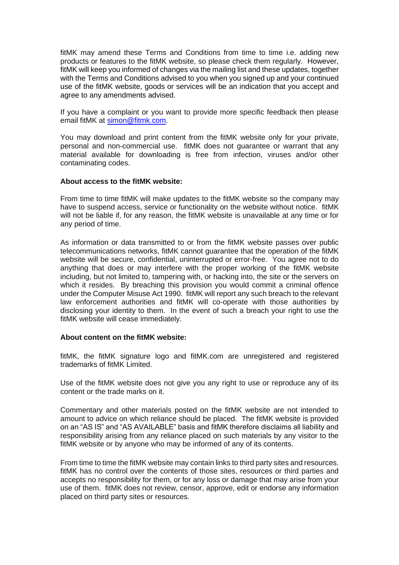fitMK may amend these Terms and Conditions from time to time i.e. adding new products or features to the fitMK website, so please check them regularly. However, fitMK will keep you informed of changes via the mailing list and these updates, together with the Terms and Conditions advised to you when you signed up and your continued use of the fitMK website, goods or services will be an indication that you accept and agree to any amendments advised.

If you have a complaint or you want to provide more specific feedback then please email fitMK at [simon@fitmk.com.](mailto:simon@fitmk.com)

You may download and print content from the fitMK website only for your private, personal and non-commercial use. fitMK does not guarantee or warrant that any material available for downloading is free from infection, viruses and/or other contaminating codes.

#### **About access to the fitMK website:**

From time to time fitMK will make updates to the fitMK website so the company may have to suspend access, service or functionality on the website without notice. fitMK will not be liable if, for any reason, the fitMK website is unavailable at any time or for any period of time.

As information or data transmitted to or from the fitMK website passes over public telecommunications networks, fitMK cannot guarantee that the operation of the fitMK website will be secure, confidential, uninterrupted or error-free. You agree not to do anything that does or may interfere with the proper working of the fitMK website including, but not limited to, tampering with, or hacking into, the site or the servers on which it resides. By breaching this provision you would commit a criminal offence under the Computer Misuse Act 1990. fitMK will report any such breach to the relevant law enforcement authorities and fitMK will co-operate with those authorities by disclosing your identity to them. In the event of such a breach your right to use the fitMK website will cease immediately.

# **About content on the fitMK website:**

fitMK, the fitMK signature logo and fitMK.com are unregistered and registered trademarks of fitMK Limited.

Use of the fitMK website does not give you any right to use or reproduce any of its content or the trade marks on it.

Commentary and other materials posted on the fitMK website are not intended to amount to advice on which reliance should be placed. The fitMK website is provided on an "AS IS" and "AS AVAILABLE" basis and fitMK therefore disclaims all liability and responsibility arising from any reliance placed on such materials by any visitor to the fitMK website or by anyone who may be informed of any of its contents.

From time to time the fitMK website may contain links to third party sites and resources. fitMK has no control over the contents of those sites, resources or third parties and accepts no responsibility for them, or for any loss or damage that may arise from your use of them. fitMK does not review, censor, approve, edit or endorse any information placed on third party sites or resources.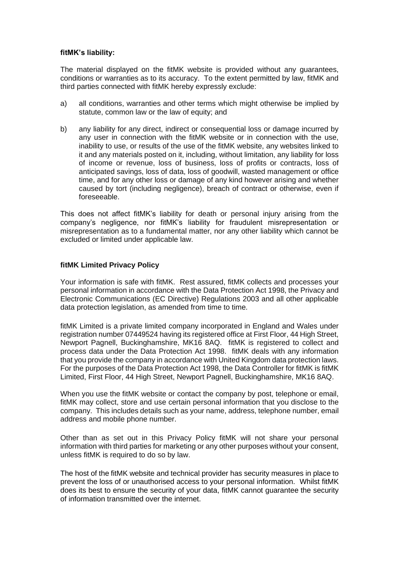#### **fitMK's liability:**

The material displayed on the fitMK website is provided without any guarantees, conditions or warranties as to its accuracy. To the extent permitted by law, fitMK and third parties connected with fitMK hereby expressly exclude:

- a) all conditions, warranties and other terms which might otherwise be implied by statute, common law or the law of equity; and
- b) any liability for any direct, indirect or consequential loss or damage incurred by any user in connection with the fitMK website or in connection with the use, inability to use, or results of the use of the fitMK website, any websites linked to it and any materials posted on it, including, without limitation, any liability for loss of income or revenue, loss of business, loss of profits or contracts, loss of anticipated savings, loss of data, loss of goodwill, wasted management or office time, and for any other loss or damage of any kind however arising and whether caused by tort (including negligence), breach of contract or otherwise, even if foreseeable.

This does not affect fitMK's liability for death or personal injury arising from the company's negligence, nor fitMK's liability for fraudulent misrepresentation or misrepresentation as to a fundamental matter, nor any other liability which cannot be excluded or limited under applicable law.

#### **fitMK Limited Privacy Policy**

Your information is safe with fitMK. Rest assured, fitMK collects and processes your personal information in accordance with the Data Protection Act 1998, the Privacy and Electronic Communications (EC Directive) Regulations 2003 and all other applicable data protection legislation, as amended from time to time.

fitMK Limited is a private limited company incorporated in England and Wales under registration number 07449524 having its registered office at First Floor, 44 High Street, Newport Pagnell, Buckinghamshire, MK16 8AQ. fitMK is registered to collect and process data under the Data Protection Act 1998. fitMK deals with any information that you provide the company in accordance with United Kingdom data protection laws. For the purposes of the Data Protection Act 1998, the Data Controller for fitMK is fitMK Limited, First Floor, 44 High Street, Newport Pagnell, Buckinghamshire, MK16 8AQ.

When you use the fitMK website or contact the company by post, telephone or email, fitMK may collect, store and use certain personal information that you disclose to the company. This includes details such as your name, address, telephone number, email address and mobile phone number.

Other than as set out in this Privacy Policy fitMK will not share your personal information with third parties for marketing or any other purposes without your consent, unless fitMK is required to do so by law.

The host of the fitMK website and technical provider has security measures in place to prevent the loss of or unauthorised access to your personal information. Whilst fitMK does its best to ensure the security of your data, fitMK cannot guarantee the security of information transmitted over the internet.